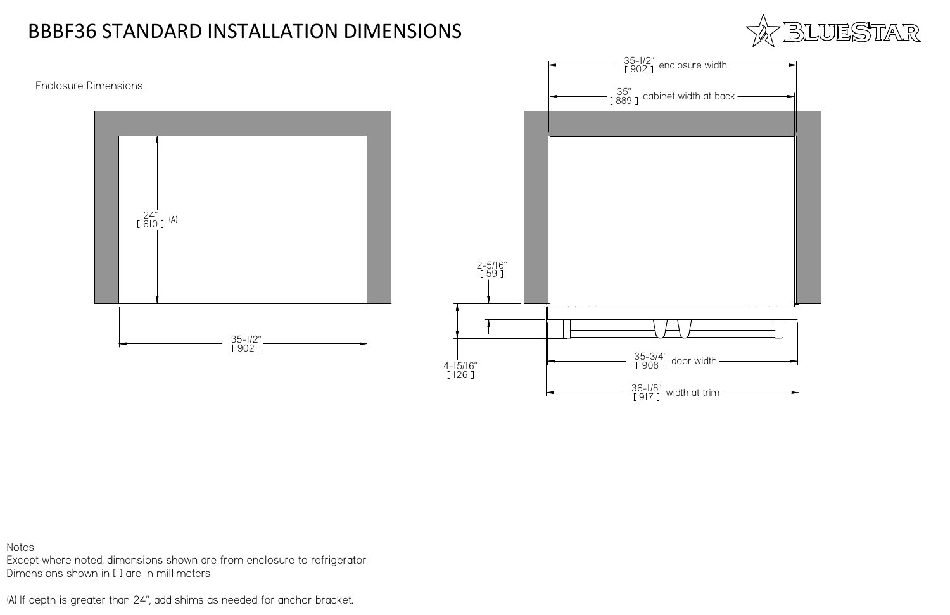





| $\Rightarrow$ width $\qquad$              |  |
|-------------------------------------------|--|
| $\alpha$ at back $\overline{\phantom{a}}$ |  |
|                                           |  |
|                                           |  |
|                                           |  |
|                                           |  |
|                                           |  |
|                                           |  |
|                                           |  |
|                                           |  |
|                                           |  |
|                                           |  |
| vidth                                     |  |
| t trim                                    |  |

### Enclosure Dimensions

## BBBF36 STANDARD INSTALLATION DIMENSIONS

Notes:

Except where noted, dimensions shown are from enclosure to refrigeratorDimensions shown in [ ] are in millimeters

(A) If depth is greater than 24", add shims as needed for anchor bracket.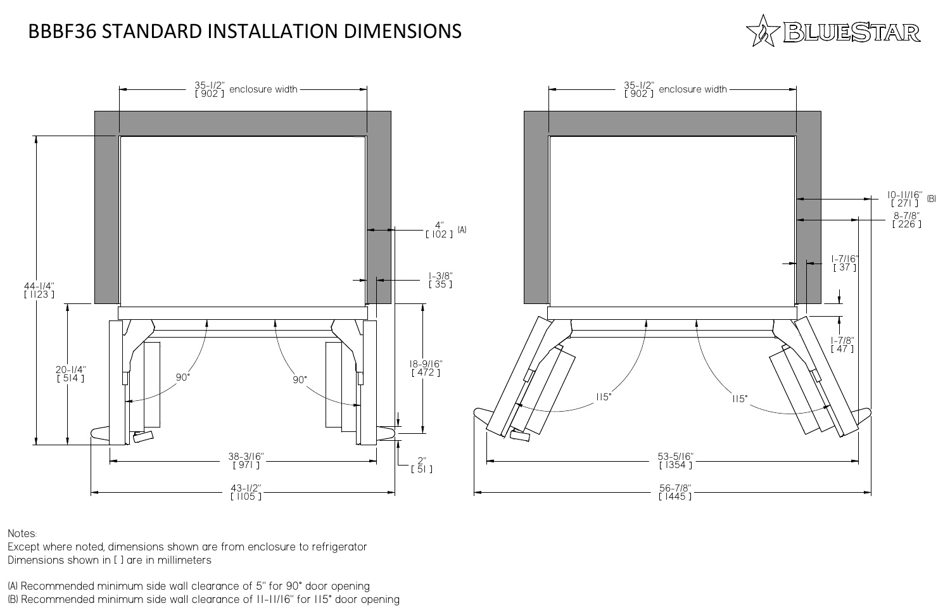Notes:

Except where noted, dimensions shown are from enclosure to refrigeratorDimensions shown in [ ] are in millimeters

(A) Recommended minimum side wall clearance of 5" for 90° door opening(B) Recommended minimum side wall clearance of 11-11/16" for 115° door opening





## BBBF36 STANDARD INSTALLATION DIMENSIONS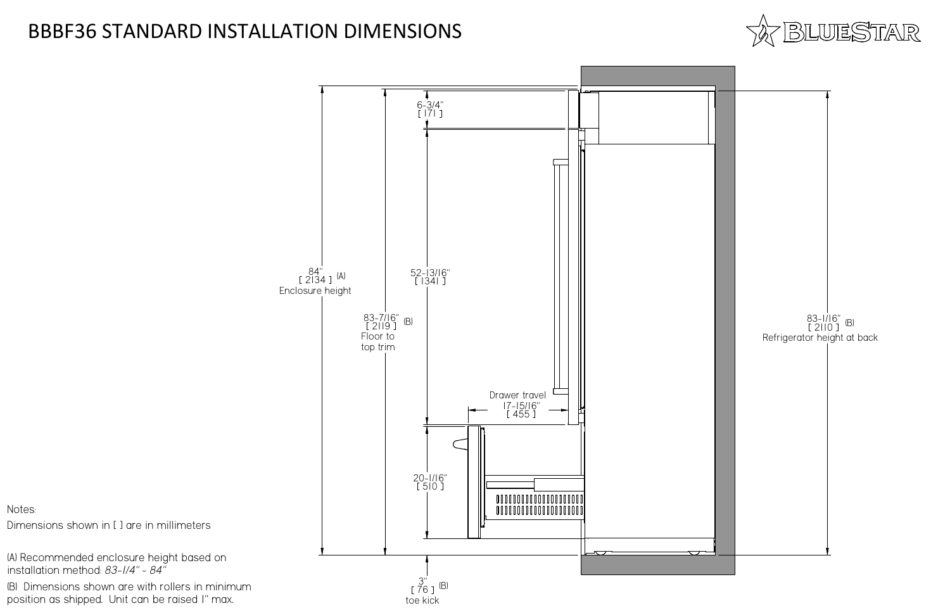



84" 2134 $4$  ]  $^{(A)}$ Enclosure height

# BBBF36 STANDARD INSTALLATION DIMENSIONS

Notes:

Dimensions shown in [ ] are in millimeters

(A) Recommended enclosure height based oninstallation method: *83-1/4" - 84"*

(B) Dimensions shown are with rollers in minimumposition as shipped. Unit can be raised 1" max.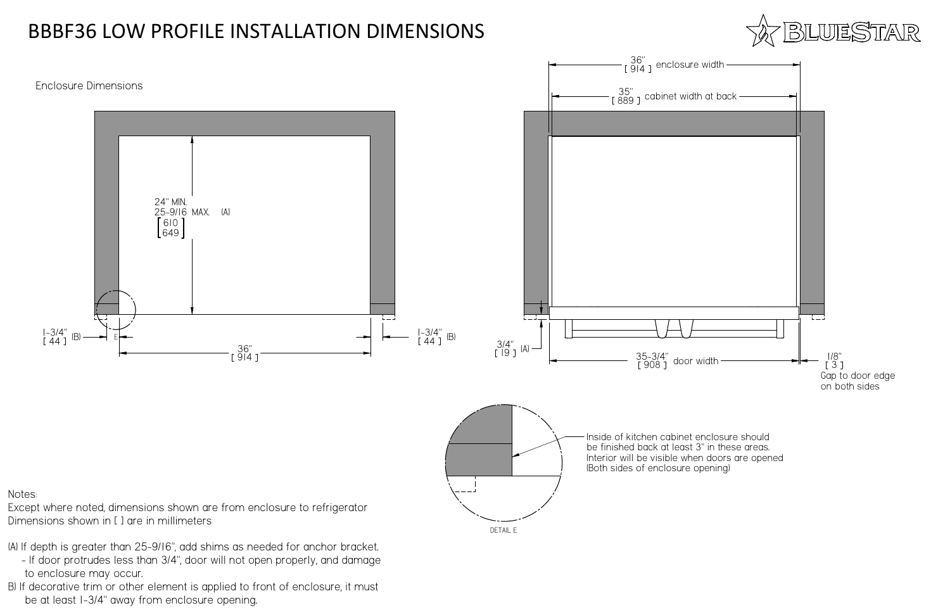### Enclosure Dimensions

Notes:

Except where noted, dimensions shown are from enclosure to refrigeratorDimensions shown in [ ] are in millimeters



- to enclosure may occur.
- B) If decorative trim or other element is applied to front of enclosure, it mustbe at least 1-3/4" away from enclosure opening.



# BBBF36 LOW PROFILE INSTALLATION DIMENSIONS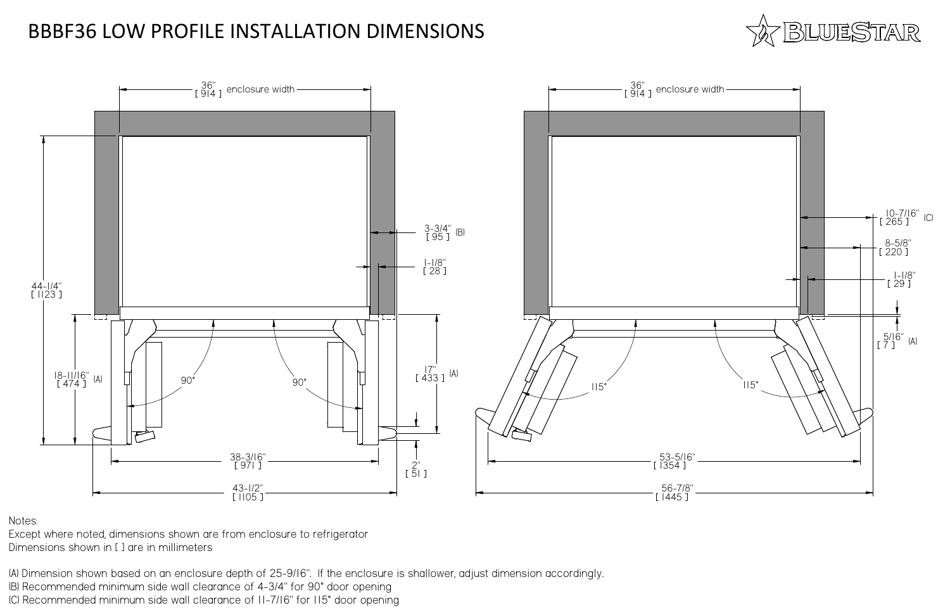

Notes:

Except where noted, dimensions shown are from enclosure to refrigeratorDimensions shown in [ ] are in millimeters

(A) Dimension shown based on an enclosure depth of 25-9/16". If the enclosure is shallower, adjust dimension accordingly. (B) Recommended minimum side wall clearance of 4-3/4" for 90° door opening(C) Recommended minimum side wall clearance of 11-7/16" for 115° door opening



### BBBF36 LOW PROFILE INSTALLATION DIMENSIONS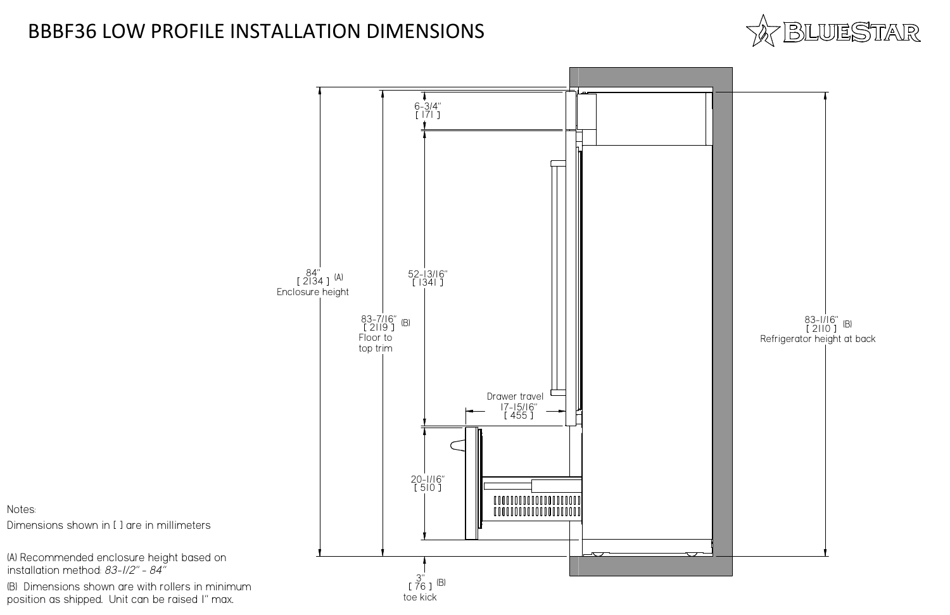



84" 2134 $4$  ]  $^{(A)}$ Enclosure height



Notes:

Dimensions shown in [ ] are in millimeters

(A) Recommended enclosure height based oninstallation method: *83-1/2" - 84"*

(B) Dimensions shown are with rollers in minimumposition as shipped. Unit can be raised 1" max.

## BBBF36 LOW PROFILE INSTALLATION DIMENSIONS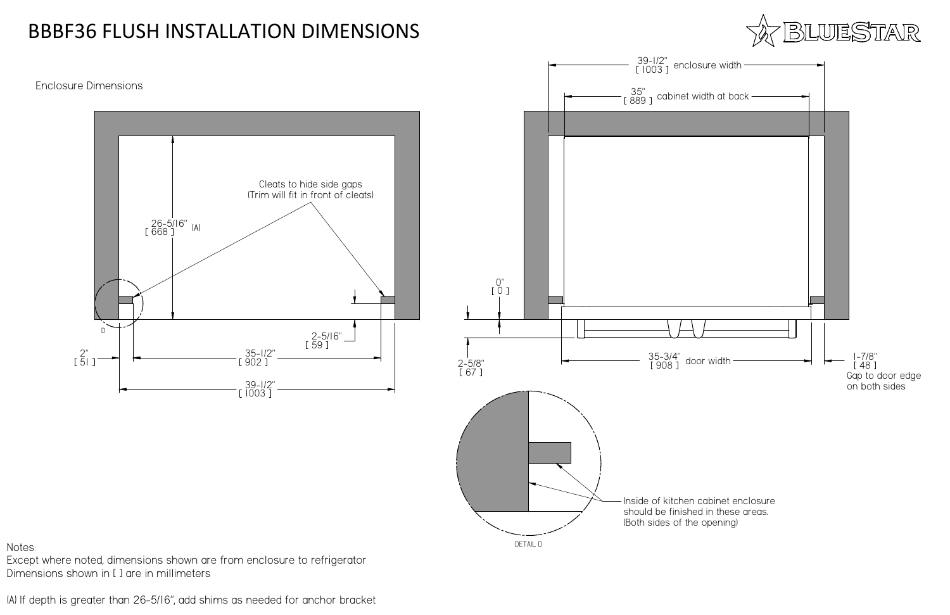

### Enclosure Dimensions

Except where noted, dimensions shown are from enclosure to refrigeratorDimensions shown in [ ] are in millimeters

(A) If depth is greater than 26-5/16", add shims as needed for anchor bracket



# BBBF36 FLUSH INSTALLATION DIMENSIONS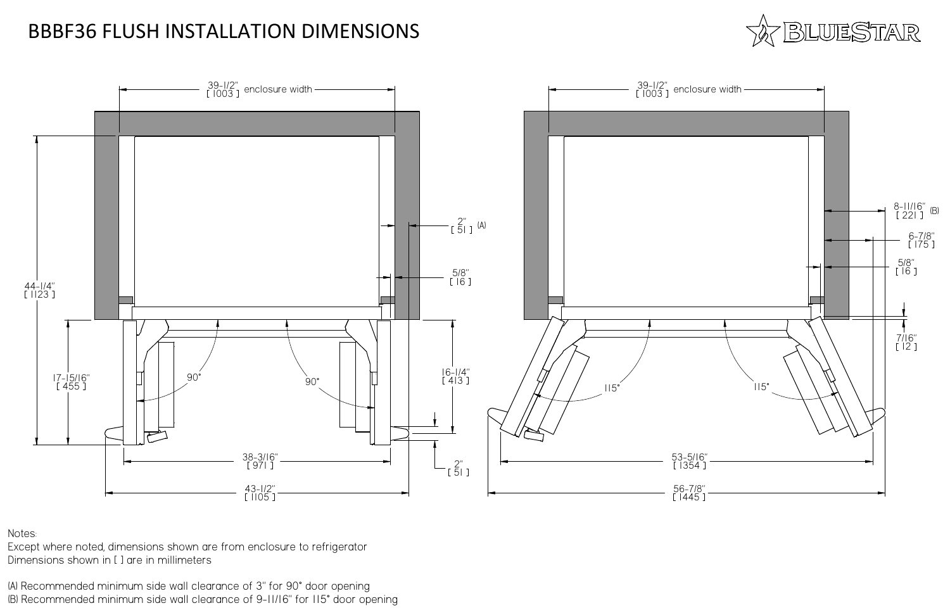

Notes:

Except where noted, dimensions shown are from enclosure to refrigeratorDimensions shown in [ ] are in millimeters

(A) Recommended minimum side wall clearance of 3" for 90° door opening(B) Recommended minimum side wall clearance of 9-11/16" for 115° door opening



# BBBF36 FLUSH INSTALLATION DIMENSIONS